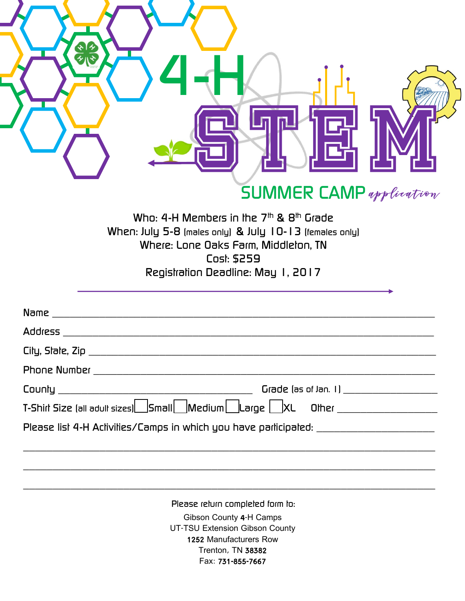|                | <b>SUMMER CAMP</b> application                                                                                                                                                                      |
|----------------|-----------------------------------------------------------------------------------------------------------------------------------------------------------------------------------------------------|
|                | Who: 4-H Members in the $7th$ & $8th$ Grade<br>When: July 5-8 (males only) & July 10-13 (females only)<br>Where: Lone Oaks Farm, Middlelon, TN<br>Cost: \$259<br>Registration Deadline: May 1, 2017 |
| Name           |                                                                                                                                                                                                     |
| <b>Address</b> |                                                                                                                                                                                                     |
|                |                                                                                                                                                                                                     |
|                |                                                                                                                                                                                                     |
|                |                                                                                                                                                                                                     |
|                |                                                                                                                                                                                                     |
|                | Please list 4-H Activities/Camps in which you have participated: ________________                                                                                                                   |
|                | Please return completed form to:                                                                                                                                                                    |
|                | Gibson County 4-H Camps<br>UT-TSU Extension Gibson County<br>1252 Manufacturers Row<br>Trenton, TN 38382<br>Fax: 731-855-7667                                                                       |